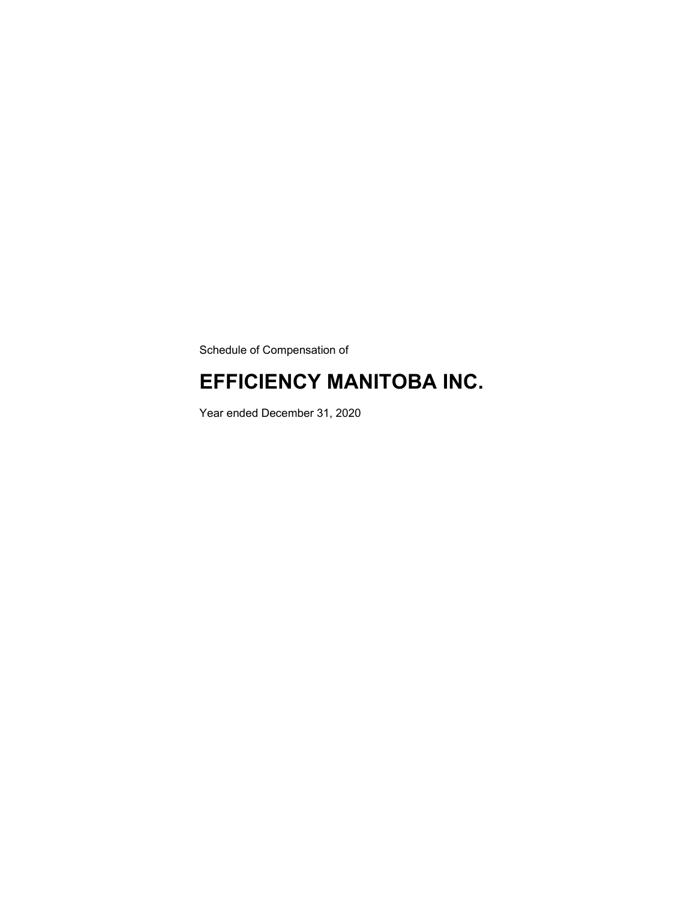Schedule of Compensation of

# **EFFICIENCY MANITOBA INC.**

Year ended December 31, 2020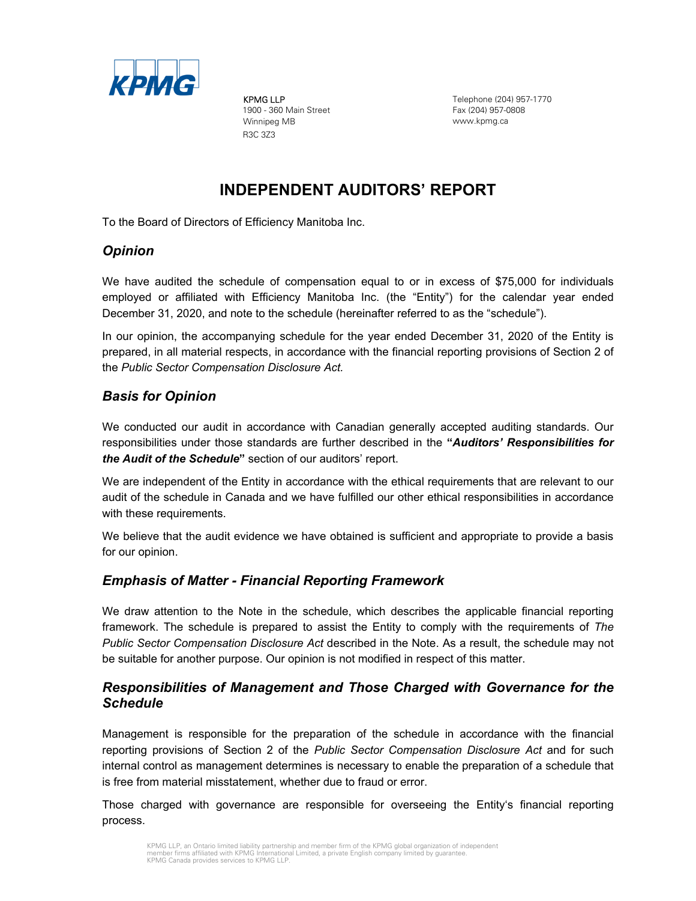

KPMG LLP 1900 - 360 Main Street Winnipeg MB R3C 3Z3

Telephone (204) 957-1770 Fax (204) 957-0808 www.kpmg.ca

## **INDEPENDENT AUDITORS' REPORT**

To the Board of Directors of Efficiency Manitoba Inc.

#### *Opinion*

We have audited the schedule of compensation equal to or in excess of \$75,000 for individuals employed or affiliated with Efficiency Manitoba Inc. (the "Entity") for the calendar year ended December 31, 2020, and note to the schedule (hereinafter referred to as the "schedule").

In our opinion, the accompanying schedule for the year ended December 31, 2020 of the Entity is prepared, in all material respects, in accordance with the financial reporting provisions of Section 2 of the *Public Sector Compensation Disclosure Act.*

#### *Basis for Opinion*

We conducted our audit in accordance with Canadian generally accepted auditing standards. Our responsibilities under those standards are further described in the **"***Auditors' Responsibilities for the Audit of the Schedule***"** section of our auditors' report.

We are independent of the Entity in accordance with the ethical requirements that are relevant to our audit of the schedule in Canada and we have fulfilled our other ethical responsibilities in accordance with these requirements.

We believe that the audit evidence we have obtained is sufficient and appropriate to provide a basis for our opinion.

#### *Emphasis of Matter - Financial Reporting Framework*

We draw attention to the Note in the schedule, which describes the applicable financial reporting framework. The schedule is prepared to assist the Entity to comply with the requirements of *The Public Sector Compensation Disclosure Act* described in the Note. As a result, the schedule may not be suitable for another purpose. Our opinion is not modified in respect of this matter.

### *Responsibilities of Management and Those Charged with Governance for the Schedule*

Management is responsible for the preparation of the schedule in accordance with the financial reporting provisions of Section 2 of the *Public Sector Compensation Disclosure Act* and for such internal control as management determines is necessary to enable the preparation of a schedule that is free from material misstatement, whether due to fraud or error.

Those charged with governance are responsible for overseeing the Entity's financial reporting process.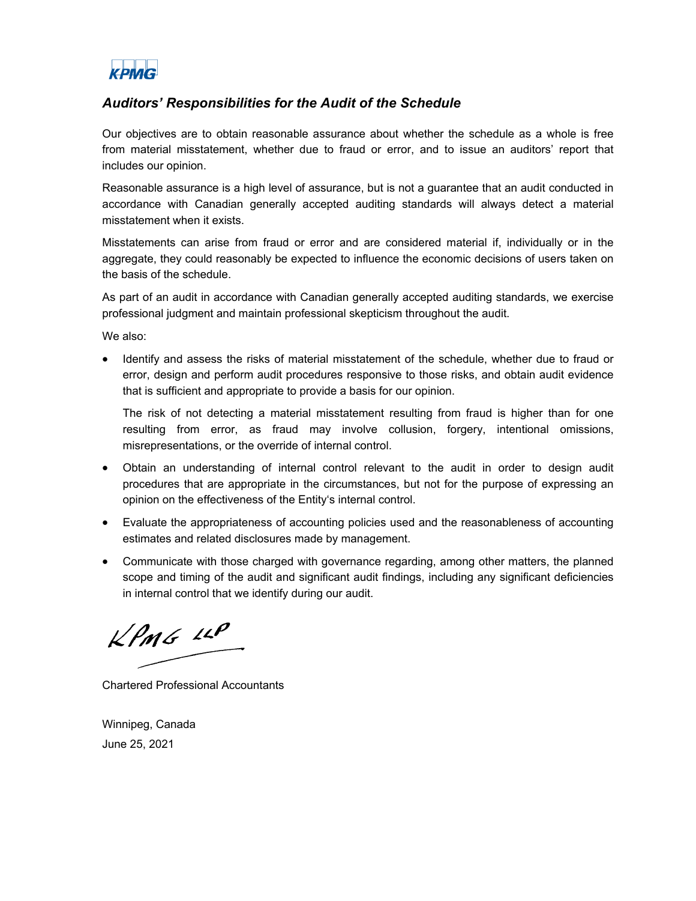

### *Auditors' Responsibilities for the Audit of the Schedule*

Our objectives are to obtain reasonable assurance about whether the schedule as a whole is free from material misstatement, whether due to fraud or error, and to issue an auditors' report that includes our opinion.

Reasonable assurance is a high level of assurance, but is not a guarantee that an audit conducted in accordance with Canadian generally accepted auditing standards will always detect a material misstatement when it exists.

Misstatements can arise from fraud or error and are considered material if, individually or in the aggregate, they could reasonably be expected to influence the economic decisions of users taken on the basis of the schedule.

As part of an audit in accordance with Canadian generally accepted auditing standards, we exercise professional judgment and maintain professional skepticism throughout the audit.

We also:

 Identify and assess the risks of material misstatement of the schedule, whether due to fraud or error, design and perform audit procedures responsive to those risks, and obtain audit evidence that is sufficient and appropriate to provide a basis for our opinion.

The risk of not detecting a material misstatement resulting from fraud is higher than for one resulting from error, as fraud may involve collusion, forgery, intentional omissions, misrepresentations, or the override of internal control.

- Obtain an understanding of internal control relevant to the audit in order to design audit procedures that are appropriate in the circumstances, but not for the purpose of expressing an opinion on the effectiveness of the Entity's internal control.
- Evaluate the appropriateness of accounting policies used and the reasonableness of accounting estimates and related disclosures made by management.
- Communicate with those charged with governance regarding, among other matters, the planned scope and timing of the audit and significant audit findings, including any significant deficiencies in internal control that we identify during our audit.

 $k$ *PMG*  $\mu$ 

Chartered Professional Accountants

Winnipeg, Canada June 25, 2021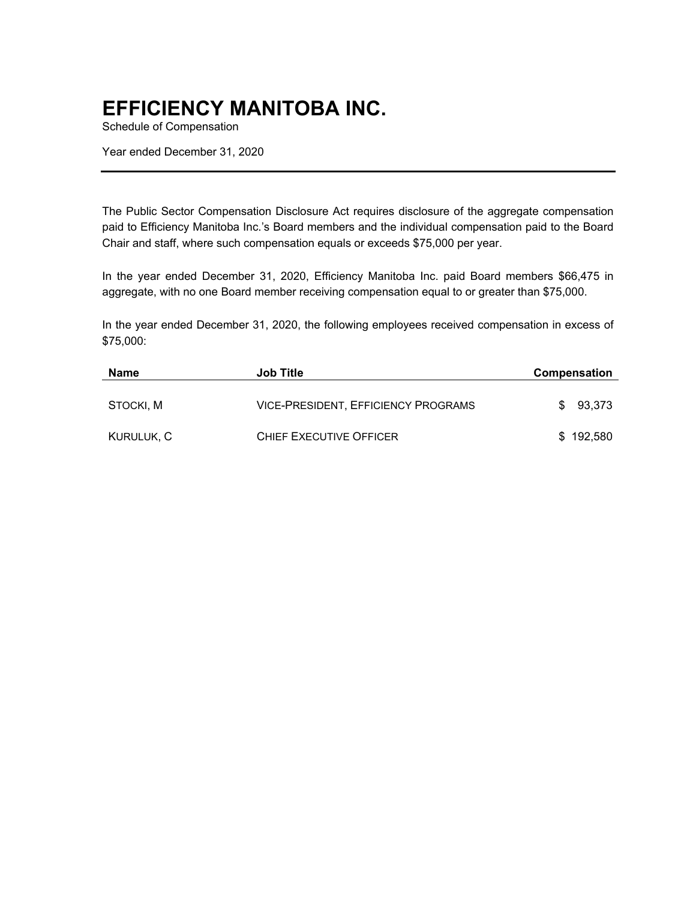# **EFFICIENCY MANITOBA INC.**

Schedule of Compensation

Year ended December 31, 2020

The Public Sector Compensation Disclosure Act requires disclosure of the aggregate compensation paid to Efficiency Manitoba Inc.'s Board members and the individual compensation paid to the Board Chair and staff, where such compensation equals or exceeds \$75,000 per year.

In the year ended December 31, 2020, Efficiency Manitoba Inc. paid Board members \$66,475 in aggregate, with no one Board member receiving compensation equal to or greater than \$75,000.

In the year ended December 31, 2020, the following employees received compensation in excess of \$75,000:

| Name       | <b>Job Title</b>                           | Compensation |
|------------|--------------------------------------------|--------------|
| STOCKI, M  | <b>VICE-PRESIDENT, EFFICIENCY PROGRAMS</b> | \$ 93.373    |
| KURULUK, C | <b>CHIEF EXECUTIVE OFFICER</b>             | \$192.580    |